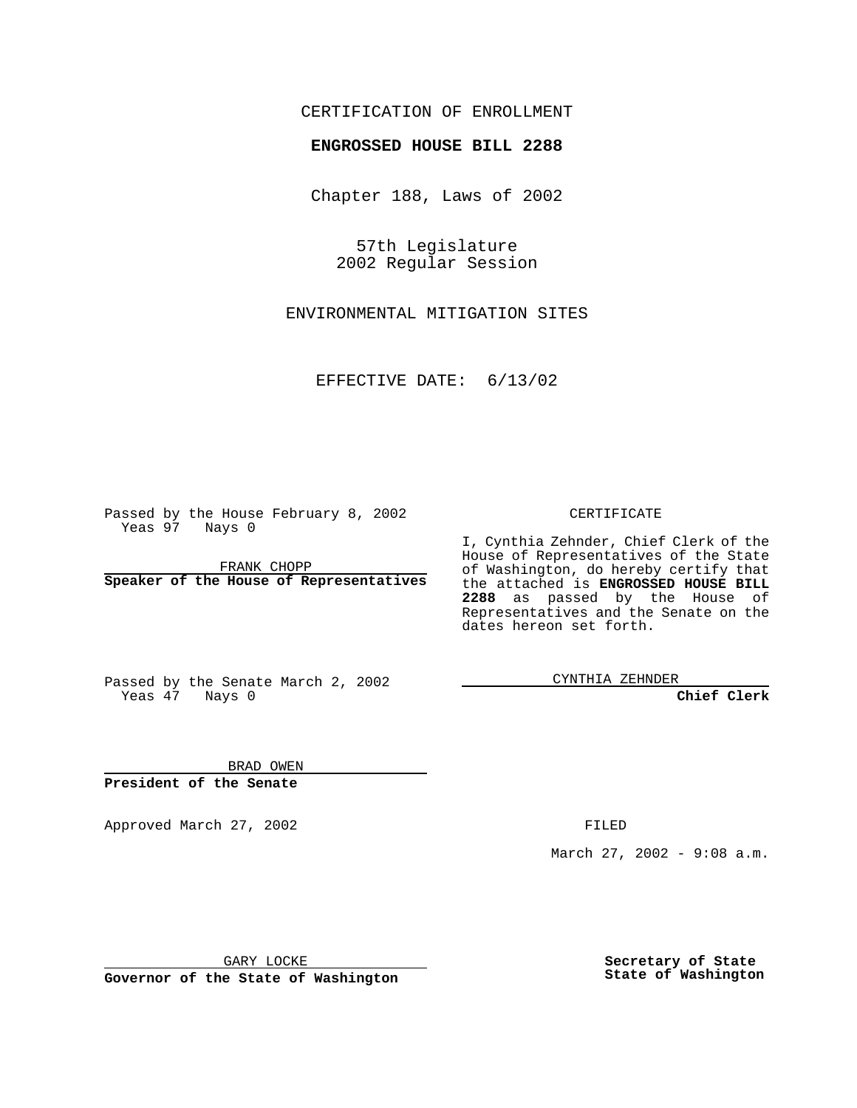## CERTIFICATION OF ENROLLMENT

## **ENGROSSED HOUSE BILL 2288**

Chapter 188, Laws of 2002

57th Legislature 2002 Regular Session

ENVIRONMENTAL MITIGATION SITES

EFFECTIVE DATE: 6/13/02

Passed by the House February 8, 2002 Yeas 97 Nays 0

FRANK CHOPP **Speaker of the House of Representatives** CERTIFICATE

I, Cynthia Zehnder, Chief Clerk of the House of Representatives of the State of Washington, do hereby certify that the attached is **ENGROSSED HOUSE BILL 2288** as passed by the House of Representatives and the Senate on the dates hereon set forth.

Passed by the Senate March 2, 2002 Yeas 47 Nays 0

CYNTHIA ZEHNDER

**Chief Clerk**

BRAD OWEN **President of the Senate**

Approved March 27, 2002 **FILED** 

March 27, 2002 - 9:08 a.m.

GARY LOCKE

**Governor of the State of Washington**

**Secretary of State State of Washington**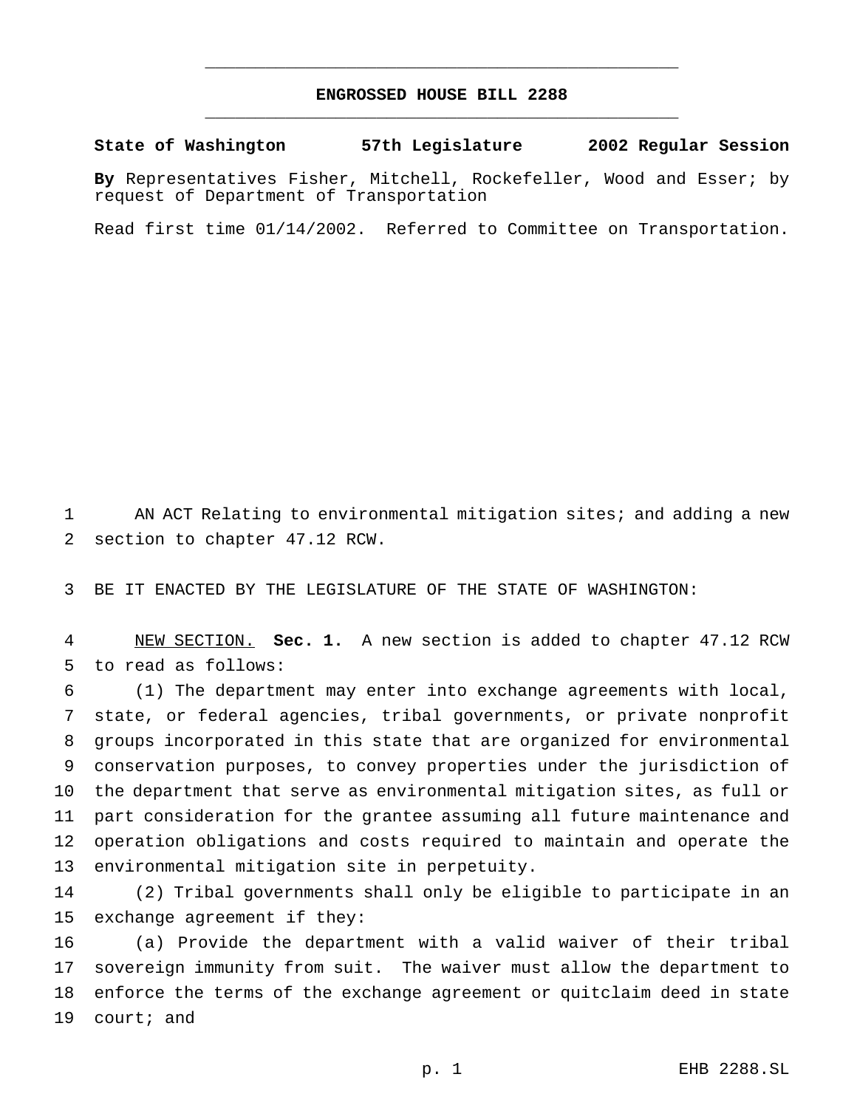## **ENGROSSED HOUSE BILL 2288** \_\_\_\_\_\_\_\_\_\_\_\_\_\_\_\_\_\_\_\_\_\_\_\_\_\_\_\_\_\_\_\_\_\_\_\_\_\_\_\_\_\_\_\_\_\_\_

\_\_\_\_\_\_\_\_\_\_\_\_\_\_\_\_\_\_\_\_\_\_\_\_\_\_\_\_\_\_\_\_\_\_\_\_\_\_\_\_\_\_\_\_\_\_\_

**State of Washington 57th Legislature 2002 Regular Session**

**By** Representatives Fisher, Mitchell, Rockefeller, Wood and Esser; by request of Department of Transportation

Read first time 01/14/2002. Referred to Committee on Transportation.

 AN ACT Relating to environmental mitigation sites; and adding a new section to chapter 47.12 RCW.

BE IT ENACTED BY THE LEGISLATURE OF THE STATE OF WASHINGTON:

 NEW SECTION. **Sec. 1.** A new section is added to chapter 47.12 RCW to read as follows:

 (1) The department may enter into exchange agreements with local, state, or federal agencies, tribal governments, or private nonprofit groups incorporated in this state that are organized for environmental conservation purposes, to convey properties under the jurisdiction of the department that serve as environmental mitigation sites, as full or part consideration for the grantee assuming all future maintenance and operation obligations and costs required to maintain and operate the environmental mitigation site in perpetuity.

 (2) Tribal governments shall only be eligible to participate in an exchange agreement if they:

 (a) Provide the department with a valid waiver of their tribal sovereign immunity from suit. The waiver must allow the department to enforce the terms of the exchange agreement or quitclaim deed in state court; and